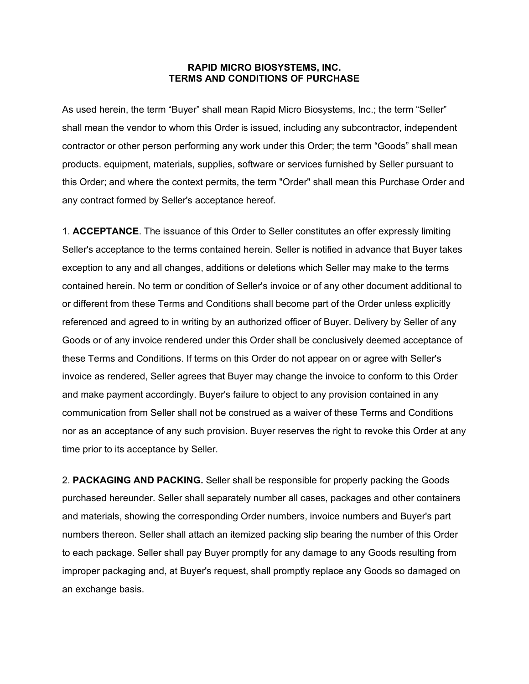## **RAPID MICRO BIOSYSTEMS, INC. TERMS AND CONDITIONS OF PURCHASE**

As used herein, the term "Buyer" shall mean Rapid Micro Biosystems, Inc.; the term "Seller" shall mean the vendor to whom this Order is issued, including any subcontractor, independent contractor or other person performing any work under this Order; the term "Goods" shall mean products. equipment, materials, supplies, software or services furnished by Seller pursuant to this Order; and where the context permits, the term "Order" shall mean this Purchase Order and any contract formed by Seller's acceptance hereof.

1. **ACCEPTANCE**. The issuance of this Order to Seller constitutes an offer expressly limiting Seller's acceptance to the terms contained herein. Seller is notified in advance that Buyer takes exception to any and all changes, additions or deletions which Seller may make to the terms contained herein. No term or condition of Seller's invoice or of any other document additional to or different from these Terms and Conditions shall become part of the Order unless explicitly referenced and agreed to in writing by an authorized officer of Buyer. Delivery by Seller of any Goods or of any invoice rendered under this Order shall be conclusively deemed acceptance of these Terms and Conditions. If terms on this Order do not appear on or agree with Seller's invoice as rendered, Seller agrees that Buyer may change the invoice to conform to this Order and make payment accordingly. Buyer's failure to object to any provision contained in any communication from Seller shall not be construed as a waiver of these Terms and Conditions nor as an acceptance of any such provision. Buyer reserves the right to revoke this Order at any time prior to its acceptance by Seller.

2. **PACKAGING AND PACKING.** Seller shall be responsible for properly packing the Goods purchased hereunder. Seller shall separately number all cases, packages and other containers and materials, showing the corresponding Order numbers, invoice numbers and Buyer's part numbers thereon. Seller shall attach an itemized packing slip bearing the number of this Order to each package. Seller shall pay Buyer promptly for any damage to any Goods resulting from improper packaging and, at Buyer's request, shall promptly replace any Goods so damaged on an exchange basis.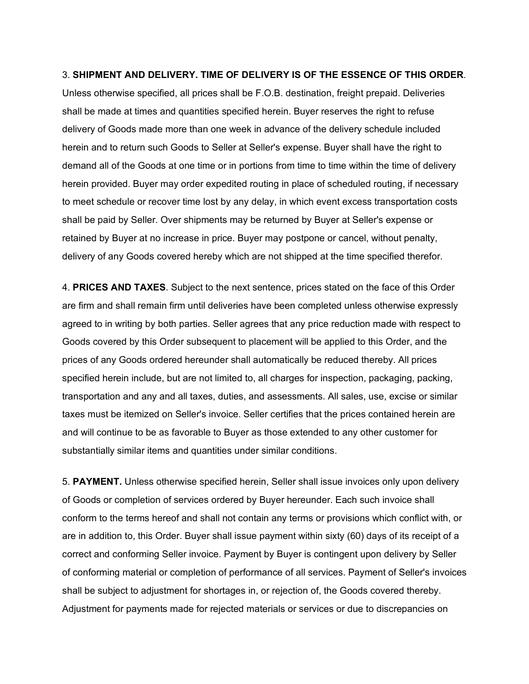## 3. **SHIPMENT AND DELIVERY. TIME OF DELIVERY IS OF THE ESSENCE OF THIS ORDER**.

Unless otherwise specified, all prices shall be F.O.B. destination, freight prepaid. Deliveries shall be made at times and quantities specified herein. Buyer reserves the right to refuse delivery of Goods made more than one week in advance of the delivery schedule included herein and to return such Goods to Seller at Seller's expense. Buyer shall have the right to demand all of the Goods at one time or in portions from time to time within the time of delivery herein provided. Buyer may order expedited routing in place of scheduled routing, if necessary to meet schedule or recover time lost by any delay, in which event excess transportation costs shall be paid by Seller. Over shipments may be returned by Buyer at Seller's expense or retained by Buyer at no increase in price. Buyer may postpone or cancel, without penalty, delivery of any Goods covered hereby which are not shipped at the time specified therefor.

4. **PRICES AND TAXES**. Subject to the next sentence, prices stated on the face of this Order are firm and shall remain firm until deliveries have been completed unless otherwise expressly agreed to in writing by both parties. Seller agrees that any price reduction made with respect to Goods covered by this Order subsequent to placement will be applied to this Order, and the prices of any Goods ordered hereunder shall automatically be reduced thereby. All prices specified herein include, but are not limited to, all charges for inspection, packaging, packing, transportation and any and all taxes, duties, and assessments. All sales, use, excise or similar taxes must be itemized on Seller's invoice. Seller certifies that the prices contained herein are and will continue to be as favorable to Buyer as those extended to any other customer for substantially similar items and quantities under similar conditions.

5. **PAYMENT.** Unless otherwise specified herein, Seller shall issue invoices only upon delivery of Goods or completion of services ordered by Buyer hereunder. Each such invoice shall conform to the terms hereof and shall not contain any terms or provisions which conflict with, or are in addition to, this Order. Buyer shall issue payment within sixty (60) days of its receipt of a correct and conforming Seller invoice. Payment by Buyer is contingent upon delivery by Seller of conforming material or completion of performance of all services. Payment of Seller's invoices shall be subject to adjustment for shortages in, or rejection of, the Goods covered thereby. Adjustment for payments made for rejected materials or services or due to discrepancies on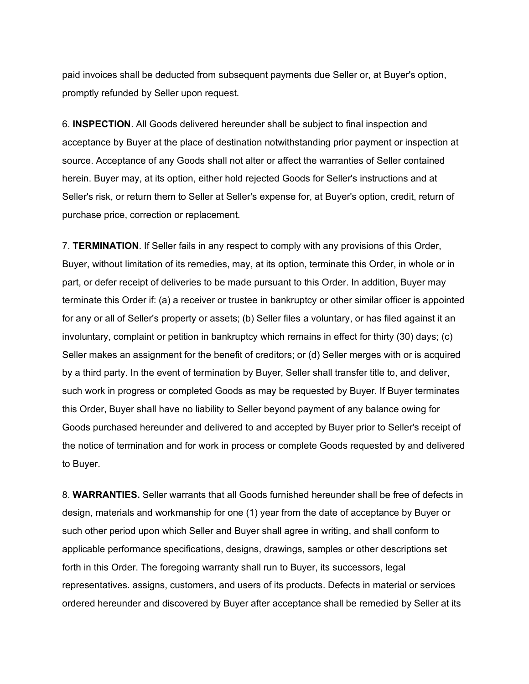paid invoices shall be deducted from subsequent payments due Seller or, at Buyer's option, promptly refunded by Seller upon request.

6. **INSPECTION**. All Goods delivered hereunder shall be subject to final inspection and acceptance by Buyer at the place of destination notwithstanding prior payment or inspection at source. Acceptance of any Goods shall not alter or affect the warranties of Seller contained herein. Buyer may, at its option, either hold rejected Goods for Seller's instructions and at Seller's risk, or return them to Seller at Seller's expense for, at Buyer's option, credit, return of purchase price, correction or replacement.

7. **TERMINATION**. If Seller fails in any respect to comply with any provisions of this Order, Buyer, without limitation of its remedies, may, at its option, terminate this Order, in whole or in part, or defer receipt of deliveries to be made pursuant to this Order. In addition, Buyer may terminate this Order if: (a) a receiver or trustee in bankruptcy or other similar officer is appointed for any or all of Seller's property or assets; (b) Seller files a voluntary, or has filed against it an involuntary, complaint or petition in bankruptcy which remains in effect for thirty (30) days; (c) Seller makes an assignment for the benefit of creditors; or (d) Seller merges with or is acquired by a third party. In the event of termination by Buyer, Seller shall transfer title to, and deliver, such work in progress or completed Goods as may be requested by Buyer. If Buyer terminates this Order, Buyer shall have no liability to Seller beyond payment of any balance owing for Goods purchased hereunder and delivered to and accepted by Buyer prior to Seller's receipt of the notice of termination and for work in process or complete Goods requested by and delivered to Buyer.

8. **WARRANTIES.** Seller warrants that all Goods furnished hereunder shall be free of defects in design, materials and workmanship for one (1) year from the date of acceptance by Buyer or such other period upon which Seller and Buyer shall agree in writing, and shall conform to applicable performance specifications, designs, drawings, samples or other descriptions set forth in this Order. The foregoing warranty shall run to Buyer, its successors, legal representatives. assigns, customers, and users of its products. Defects in material or services ordered hereunder and discovered by Buyer after acceptance shall be remedied by Seller at its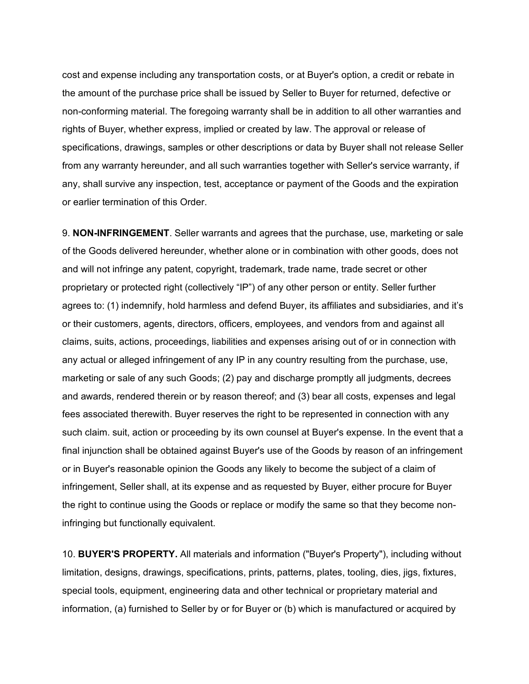cost and expense including any transportation costs, or at Buyer's option, a credit or rebate in the amount of the purchase price shall be issued by Seller to Buyer for returned, defective or non-conforming material. The foregoing warranty shall be in addition to all other warranties and rights of Buyer, whether express, implied or created by law. The approval or release of specifications, drawings, samples or other descriptions or data by Buyer shall not release Seller from any warranty hereunder, and all such warranties together with Seller's service warranty, if any, shall survive any inspection, test, acceptance or payment of the Goods and the expiration or earlier termination of this Order.

9. **NON-INFRINGEMENT**. Seller warrants and agrees that the purchase, use, marketing or sale of the Goods delivered hereunder, whether alone or in combination with other goods, does not and will not infringe any patent, copyright, trademark, trade name, trade secret or other proprietary or protected right (collectively "IP") of any other person or entity. Seller further agrees to: (1) indemnify, hold harmless and defend Buyer, its affiliates and subsidiaries, and it's or their customers, agents, directors, officers, employees, and vendors from and against all claims, suits, actions, proceedings, liabilities and expenses arising out of or in connection with any actual or alleged infringement of any IP in any country resulting from the purchase, use, marketing or sale of any such Goods; (2) pay and discharge promptly all judgments, decrees and awards, rendered therein or by reason thereof; and (3) bear all costs, expenses and legal fees associated therewith. Buyer reserves the right to be represented in connection with any such claim. suit, action or proceeding by its own counsel at Buyer's expense. In the event that a final injunction shall be obtained against Buyer's use of the Goods by reason of an infringement or in Buyer's reasonable opinion the Goods any likely to become the subject of a claim of infringement, Seller shall, at its expense and as requested by Buyer, either procure for Buyer the right to continue using the Goods or replace or modify the same so that they become noninfringing but functionally equivalent.

10. **BUYER'S PROPERTY.** All materials and information ("Buyer's Property"), including without limitation, designs, drawings, specifications, prints, patterns, plates, tooling, dies, jigs, fixtures, special tools, equipment, engineering data and other technical or proprietary material and information, (a) furnished to Seller by or for Buyer or (b) which is manufactured or acquired by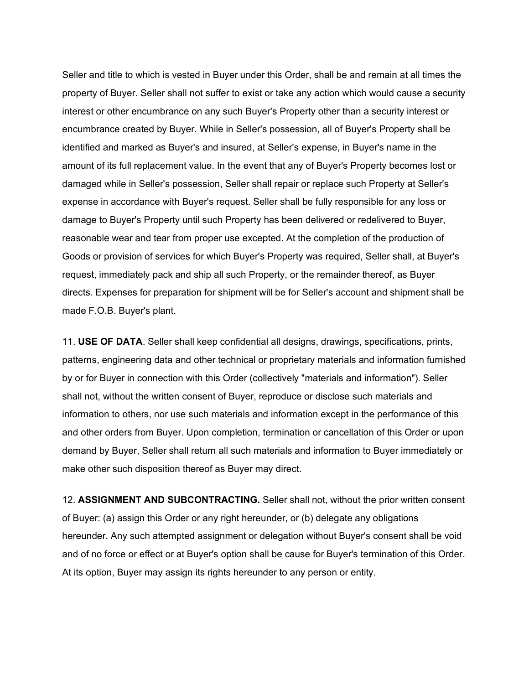Seller and title to which is vested in Buyer under this Order, shall be and remain at all times the property of Buyer. Seller shall not suffer to exist or take any action which would cause a security interest or other encumbrance on any such Buyer's Property other than a security interest or encumbrance created by Buyer. While in Seller's possession, all of Buyer's Property shall be identified and marked as Buyer's and insured, at Seller's expense, in Buyer's name in the amount of its full replacement value. In the event that any of Buyer's Property becomes lost or damaged while in Seller's possession, Seller shall repair or replace such Property at Seller's expense in accordance with Buyer's request. Seller shall be fully responsible for any loss or damage to Buyer's Property until such Property has been delivered or redelivered to Buyer, reasonable wear and tear from proper use excepted. At the completion of the production of Goods or provision of services for which Buyer's Property was required, Seller shall, at Buyer's request, immediately pack and ship all such Property, or the remainder thereof, as Buyer directs. Expenses for preparation for shipment will be for Seller's account and shipment shall be made F.O.B. Buyer's plant.

11. **USE OF DATA**. Seller shall keep confidential all designs, drawings, specifications, prints, patterns, engineering data and other technical or proprietary materials and information furnished by or for Buyer in connection with this Order (collectively "materials and information"). Seller shall not, without the written consent of Buyer, reproduce or disclose such materials and information to others, nor use such materials and information except in the performance of this and other orders from Buyer. Upon completion, termination or cancellation of this Order or upon demand by Buyer, Seller shall return all such materials and information to Buyer immediately or make other such disposition thereof as Buyer may direct.

12. **ASSIGNMENT AND SUBCONTRACTING.** Seller shall not, without the prior written consent of Buyer: (a) assign this Order or any right hereunder, or (b) delegate any obligations hereunder. Any such attempted assignment or delegation without Buyer's consent shall be void and of no force or effect or at Buyer's option shall be cause for Buyer's termination of this Order. At its option, Buyer may assign its rights hereunder to any person or entity.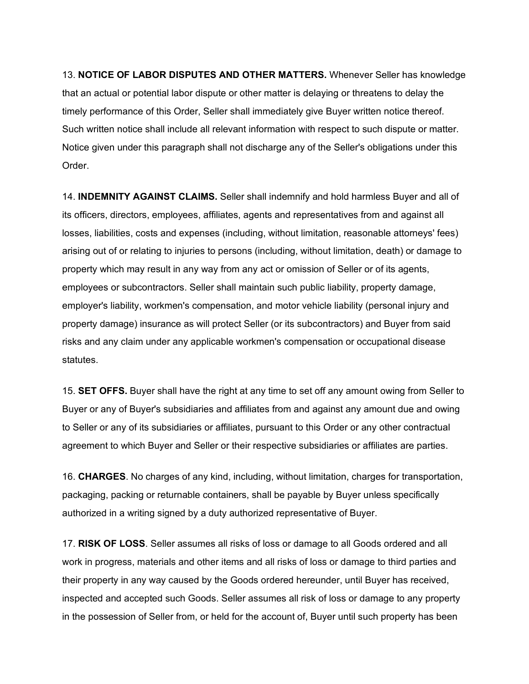13. **NOTICE OF LABOR DISPUTES AND OTHER MATTERS.** Whenever Seller has knowledge that an actual or potential labor dispute or other matter is delaying or threatens to delay the timely performance of this Order, Seller shall immediately give Buyer written notice thereof. Such written notice shall include all relevant information with respect to such dispute or matter. Notice given under this paragraph shall not discharge any of the Seller's obligations under this Order.

14. **INDEMNITY AGAINST CLAIMS.** Seller shall indemnify and hold harmless Buyer and all of its officers, directors, employees, affiliates, agents and representatives from and against all losses, liabilities, costs and expenses (including, without limitation, reasonable attorneys' fees) arising out of or relating to injuries to persons (including, without limitation, death) or damage to property which may result in any way from any act or omission of Seller or of its agents, employees or subcontractors. Seller shall maintain such public liability, property damage, employer's liability, workmen's compensation, and motor vehicle liability (personal injury and property damage) insurance as will protect Seller (or its subcontractors) and Buyer from said risks and any claim under any applicable workmen's compensation or occupational disease statutes.

15. **SET OFFS.** Buyer shall have the right at any time to set off any amount owing from Seller to Buyer or any of Buyer's subsidiaries and affiliates from and against any amount due and owing to Seller or any of its subsidiaries or affiliates, pursuant to this Order or any other contractual agreement to which Buyer and Seller or their respective subsidiaries or affiliates are parties.

16. **CHARGES**. No charges of any kind, including, without limitation, charges for transportation, packaging, packing or returnable containers, shall be payable by Buyer unless specifically authorized in a writing signed by a duty authorized representative of Buyer.

17. **RISK OF LOSS**. Seller assumes all risks of loss or damage to all Goods ordered and all work in progress, materials and other items and all risks of loss or damage to third parties and their property in any way caused by the Goods ordered hereunder, until Buyer has received, inspected and accepted such Goods. Seller assumes all risk of loss or damage to any property in the possession of Seller from, or held for the account of, Buyer until such property has been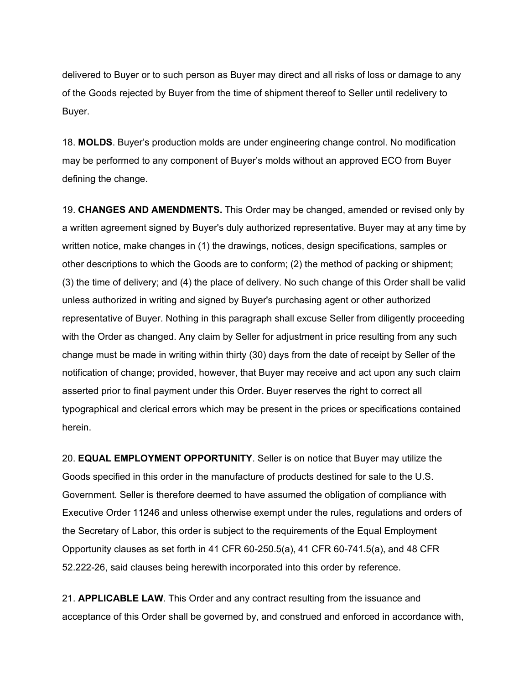delivered to Buyer or to such person as Buyer may direct and all risks of loss or damage to any of the Goods rejected by Buyer from the time of shipment thereof to Seller until redelivery to Buyer.

18. **MOLDS**. Buyer's production molds are under engineering change control. No modification may be performed to any component of Buyer's molds without an approved ECO from Buyer defining the change.

19. **CHANGES AND AMENDMENTS.** This Order may be changed, amended or revised only by a written agreement signed by Buyer's duly authorized representative. Buyer may at any time by written notice, make changes in (1) the drawings, notices, design specifications, samples or other descriptions to which the Goods are to conform; (2) the method of packing or shipment; (3) the time of delivery; and (4) the place of delivery. No such change of this Order shall be valid unless authorized in writing and signed by Buyer's purchasing agent or other authorized representative of Buyer. Nothing in this paragraph shall excuse Seller from diligently proceeding with the Order as changed. Any claim by Seller for adjustment in price resulting from any such change must be made in writing within thirty (30) days from the date of receipt by Seller of the notification of change; provided, however, that Buyer may receive and act upon any such claim asserted prior to final payment under this Order. Buyer reserves the right to correct all typographical and clerical errors which may be present in the prices or specifications contained herein.

20. **EQUAL EMPLOYMENT OPPORTUNITY**. Seller is on notice that Buyer may utilize the Goods specified in this order in the manufacture of products destined for sale to the U.S. Government. Seller is therefore deemed to have assumed the obligation of compliance with Executive Order 11246 and unless otherwise exempt under the rules, regulations and orders of the Secretary of Labor, this order is subject to the requirements of the Equal Employment Opportunity clauses as set forth in 41 CFR 60-250.5(a), 41 CFR 60-741.5(a), and 48 CFR 52.222-26, said clauses being herewith incorporated into this order by reference.

21. **APPLICABLE LAW**. This Order and any contract resulting from the issuance and acceptance of this Order shall be governed by, and construed and enforced in accordance with,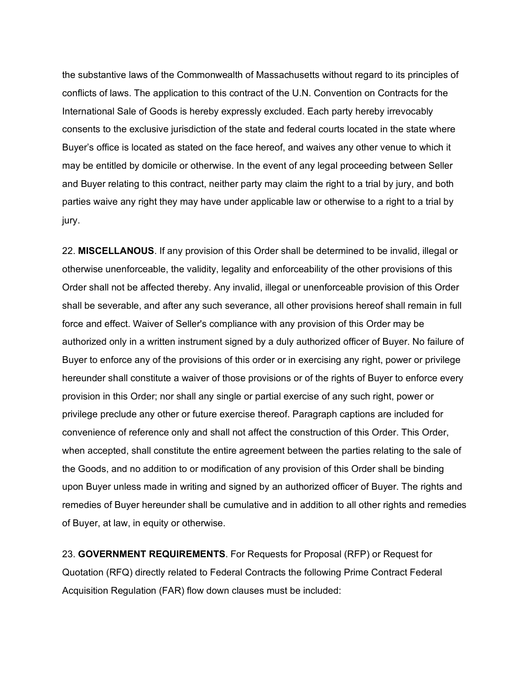the substantive laws of the Commonwealth of Massachusetts without regard to its principles of conflicts of laws. The application to this contract of the U.N. Convention on Contracts for the International Sale of Goods is hereby expressly excluded. Each party hereby irrevocably consents to the exclusive jurisdiction of the state and federal courts located in the state where Buyer's office is located as stated on the face hereof, and waives any other venue to which it may be entitled by domicile or otherwise. In the event of any legal proceeding between Seller and Buyer relating to this contract, neither party may claim the right to a trial by jury, and both parties waive any right they may have under applicable law or otherwise to a right to a trial by jury.

22. **MISCELLANOUS**. If any provision of this Order shall be determined to be invalid, illegal or otherwise unenforceable, the validity, legality and enforceability of the other provisions of this Order shall not be affected thereby. Any invalid, illegal or unenforceable provision of this Order shall be severable, and after any such severance, all other provisions hereof shall remain in full force and effect. Waiver of Seller's compliance with any provision of this Order may be authorized only in a written instrument signed by a duly authorized officer of Buyer. No failure of Buyer to enforce any of the provisions of this order or in exercising any right, power or privilege hereunder shall constitute a waiver of those provisions or of the rights of Buyer to enforce every provision in this Order; nor shall any single or partial exercise of any such right, power or privilege preclude any other or future exercise thereof. Paragraph captions are included for convenience of reference only and shall not affect the construction of this Order. This Order, when accepted, shall constitute the entire agreement between the parties relating to the sale of the Goods, and no addition to or modification of any provision of this Order shall be binding upon Buyer unless made in writing and signed by an authorized officer of Buyer. The rights and remedies of Buyer hereunder shall be cumulative and in addition to all other rights and remedies of Buyer, at law, in equity or otherwise.

23. **GOVERNMENT REQUIREMENTS**. For Requests for Proposal (RFP) or Request for Quotation (RFQ) directly related to Federal Contracts the following Prime Contract Federal Acquisition Regulation (FAR) flow down clauses must be included: